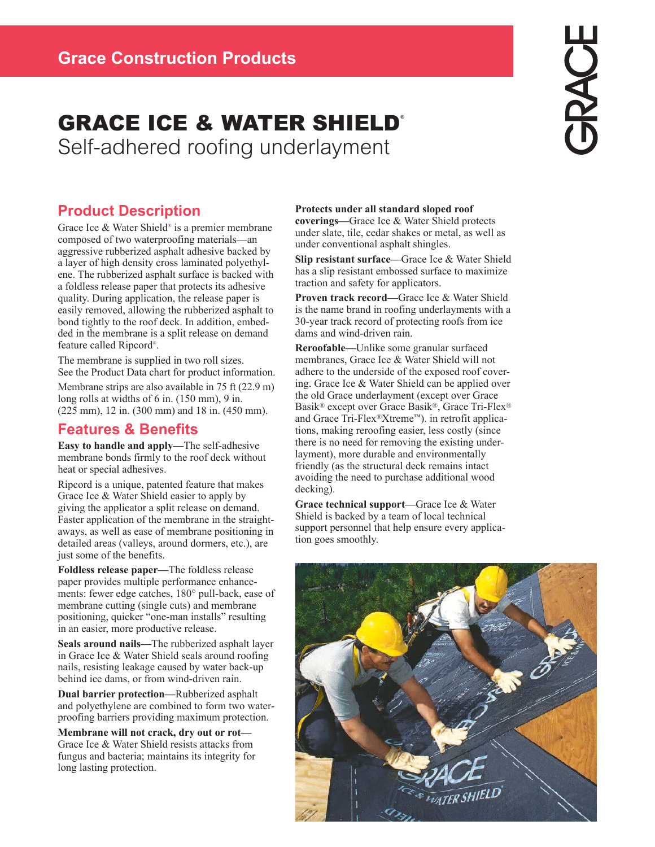# **GRACE ICE & WATER SHIELD®** Self-adhered roofing underlayment

## **Product Description**

Grace Ice & Water Shield® is a premier membrane composed of two waterproofing materials—an aggressive rubberized asphalt adhesive backed by a layer of high density cross laminated polyethylene. The rubberized asphalt surface is backed with a foldless release paper that protects its adhesive quality. During application, the release paper is easily removed, allowing the rubberized asphalt to bond tightly to the roof deck. In addition, embedded in the membrane is a split release on demand feature called Ripcord® .

The membrane is supplied in two roll sizes. See the Product Data chart for product information.

Membrane strips are also available in 75 ft (22.9 m) long rolls at widths of 6 in. (150 mm), 9 in. (225 mm), 12 in. (300 mm) and 18 in. (450 mm).

### **Features & Benefits**

**Easy to handle and apply—**The self-adhesive membrane bonds firmly to the roof deck without heat or special adhesives.

Ripcord is a unique, patented feature that makes Grace Ice & Water Shield easier to apply by giving the applicator a split release on demand. Faster application of the membrane in the straightaways, as well as ease of membrane positioning in detailed areas (valleys, around dormers, etc.), are just some of the benefits.

**Foldless release paper—**The foldless release paper provides multiple performance enhancements: fewer edge catches, 180° pull-back, ease of membrane cutting (single cuts) and membrane positioning, quicker "one-man installs" resulting in an easier, more productive release.

**Seals around nails—**The rubberized asphalt layer in Grace Ice & Water Shield seals around roofing nails, resisting leakage caused by water back-up behind ice dams, or from wind-driven rain.

**Dual barrier protection—**Rubberized asphalt and polyethylene are combined to form two waterproofing barriers providing maximum protection.

**Membrane will not crack, dry out or rot—** Grace Ice & Water Shield resists attacks from fungus and bacteria; maintains its integrity for long lasting protection.

#### **Protects under all standard sloped roof**

**coverings—**Grace Ice & Water Shield protects under slate, tile, cedar shakes or metal, as well as under conventional asphalt shingles.

**Slip resistant surface—**Grace Ice & Water Shield has a slip resistant embossed surface to maximize traction and safety for applicators.

**Proven track record—**Grace Ice & Water Shield is the name brand in roofing underlayments with a 30-year track record of protecting roofs from ice dams and wind-driven rain.

**Reroofable—**Unlike some granular surfaced membranes, Grace Ice & Water Shield will not adhere to the underside of the exposed roof covering. Grace Ice & Water Shield can be applied over the old Grace underlayment (except over Grace Basik® except over Grace Basik®, Grace Tri-Flex® and Grace Tri-Flex®Xtreme™). in retrofit applications, making reroofing easier, less costly (since there is no need for removing the existing underlayment), more durable and environmentally friendly (as the structural deck remains intact avoiding the need to purchase additional wood decking).

**Grace technical support—**Grace Ice & Water Shield is backed by a team of local technical support personnel that help ensure every application goes smoothly.

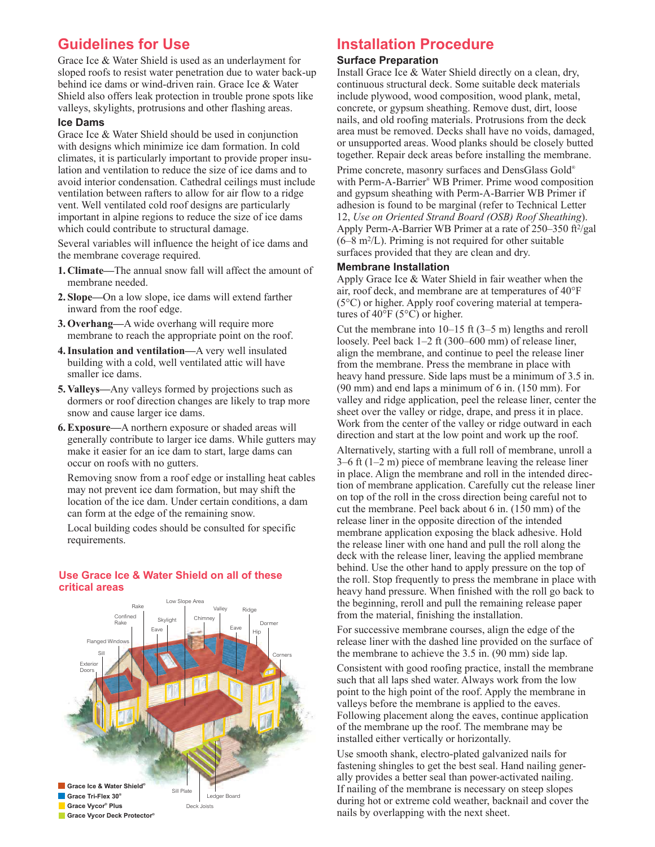### **Guidelines for Use**

Grace Ice & Water Shield is used as an underlayment for sloped roofs to resist water penetration due to water back-up behind ice dams or wind-driven rain. Grace Ice & Water Shield also offers leak protection in trouble prone spots like valleys, skylights, protrusions and other flashing areas.

#### **Ice Dams**

Grace Ice & Water Shield should be used in conjunction with designs which minimize ice dam formation. In cold climates, it is particularly important to provide proper insulation and ventilation to reduce the size of ice dams and to avoid interior condensation. Cathedral ceilings must include ventilation between rafters to allow for air flow to a ridge vent. Well ventilated cold roof designs are particularly important in alpine regions to reduce the size of ice dams which could contribute to structural damage.

Several variables will influence the height of ice dams and the membrane coverage required.

- **1. Climate—**The annual snow fall will affect the amount of membrane needed.
- **2. Slope—**On a low slope, ice dams will extend farther inward from the roof edge.
- **3. Overhang—**A wide overhang will require more membrane to reach the appropriate point on the roof.
- **4. Insulation and ventilation—**A very well insulated building with a cold, well ventilated attic will have smaller ice dams.
- **5. Valleys—**Any valleys formed by projections such as dormers or roof direction changes are likely to trap more snow and cause larger ice dams.
- **6. Exposure—**A northern exposure or shaded areas will generally contribute to larger ice dams. While gutters may make it easier for an ice dam to start, large dams can occur on roofs with no gutters.

Removing snow from a roof edge or installing heat cables may not prevent ice dam formation, but may shift the location of the ice dam. Under certain conditions, a dam can form at the edge of the remaining snow.

Local building codes should be consulted for specific requirements.

### **Use Grace Ice & Water Shield on all of these critical areas**



### **Installation Procedure**

#### **Surface Preparation**

Install Grace Ice & Water Shield directly on a clean, dry, continuous structural deck. Some suitable deck materials include plywood, wood composition, wood plank, metal, concrete, or gypsum sheathing. Remove dust, dirt, loose nails, and old roofing materials. Protrusions from the deck area must be removed. Decks shall have no voids, damaged, or unsupported areas. Wood planks should be closely butted together. Repair deck areas before installing the membrane.

Prime concrete, masonry surfaces and DensGlass Gold® with Perm-A-Barrier® WB Primer. Prime wood composition and gypsum sheathing with Perm-A-Barrier WB Primer if adhesion is found to be marginal (refer to Technical Letter 12, *Use on Oriented Strand Board (OSB) Roof Sheathing*). Apply Perm-A-Barrier WB Primer at a rate of 250–350 ft<sup>2</sup> /gal  $(6-8 \text{ m}^2$ /L). Priming is not required for other suitable surfaces provided that they are clean and dry.

#### **Membrane Installation**

Apply Grace Ice & Water Shield in fair weather when the air, roof deck, and membrane are at temperatures of 40°F (5°C) or higher. Apply roof covering material at temperatures of 40°F (5°C) or higher.

Cut the membrane into 10–15 ft (3–5 m) lengths and reroll loosely. Peel back 1–2 ft (300–600 mm) of release liner, align the membrane, and continue to peel the release liner from the membrane. Press the membrane in place with heavy hand pressure. Side laps must be a minimum of 3.5 in. (90 mm) and end laps a minimum of 6 in. (150 mm). For valley and ridge application, peel the release liner, center the sheet over the valley or ridge, drape, and press it in place. Work from the center of the valley or ridge outward in each direction and start at the low point and work up the roof.

Alternatively, starting with a full roll of membrane, unroll a 3–6 ft (1–2 m) piece of membrane leaving the release liner in place. Align the membrane and roll in the intended direction of membrane application. Carefully cut the release liner on top of the roll in the cross direction being careful not to cut the membrane. Peel back about 6 in. (150 mm) of the release liner in the opposite direction of the intended membrane application exposing the black adhesive. Hold the release liner with one hand and pull the roll along the deck with the release liner, leaving the applied membrane behind. Use the other hand to apply pressure on the top of the roll. Stop frequently to press the membrane in place with heavy hand pressure. When finished with the roll go back to the beginning, reroll and pull the remaining release paper from the material, finishing the installation.

For successive membrane courses, align the edge of the release liner with the dashed line provided on the surface of the membrane to achieve the 3.5 in. (90 mm) side lap.

Consistent with good roofing practice, install the membrane such that all laps shed water. Always work from the low point to the high point of the roof. Apply the membrane in valleys before the membrane is applied to the eaves. Following placement along the eaves, continue application of the membrane up the roof. The membrane may be installed either vertically or horizontally.

Use smooth shank, electro-plated galvanized nails for fastening shingles to get the best seal. Hand nailing generally provides a better seal than power-activated nailing. If nailing of the membrane is necessary on steep slopes during hot or extreme cold weather, backnail and cover the nails by overlapping with the next sheet.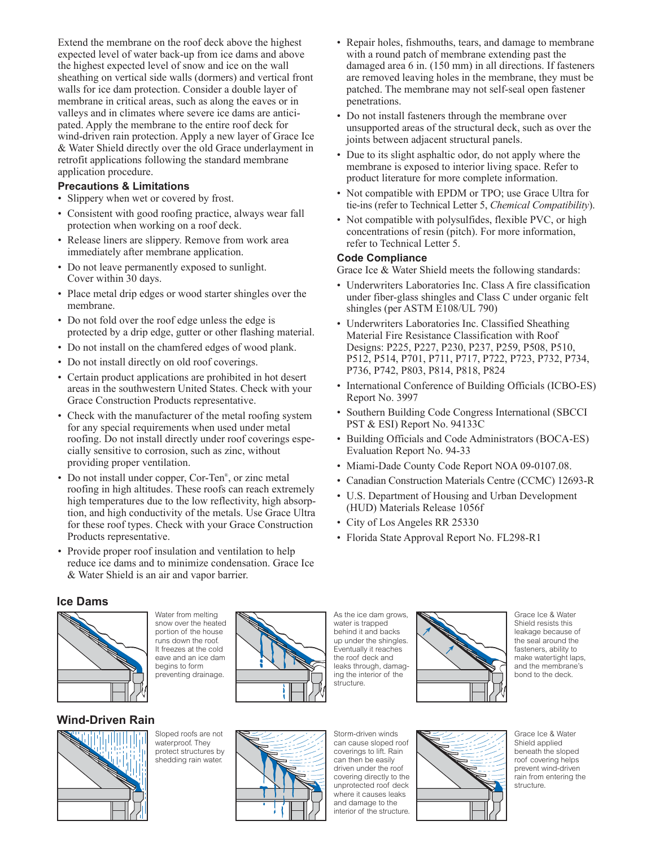Extend the membrane on the roof deck above the highest expected level of water back-up from ice dams and above the highest expected level of snow and ice on the wall sheathing on vertical side walls (dormers) and vertical front walls for ice dam protection. Consider a double layer of membrane in critical areas, such as along the eaves or in valleys and in climates where severe ice dams are anticipated. Apply the membrane to the entire roof deck for wind-driven rain protection. Apply a new layer of Grace Ice & Water Shield directly over the old Grace underlayment in retrofit applications following the standard membrane application procedure.

#### **Precautions & Limitations**

- Slippery when wet or covered by frost.
- Consistent with good roofing practice, always wear fall protection when working on a roof deck.
- Release liners are slippery. Remove from work area immediately after membrane application.
- Do not leave permanently exposed to sunlight. Cover within 30 days.
- Place metal drip edges or wood starter shingles over the membrane.
- Do not fold over the roof edge unless the edge is protected by a drip edge, gutter or other flashing material.
- Do not install on the chamfered edges of wood plank.
- Do not install directly on old roof coverings.
- Certain product applications are prohibited in hot desert areas in the southwestern United States. Check with your Grace Construction Products representative.
- Check with the manufacturer of the metal roofing system for any special requirements when used under metal roofing. Do not install directly under roof coverings especially sensitive to corrosion, such as zinc, without providing proper ventilation.
- Do not install under copper, Cor-Ten<sup>®</sup>, or zinc metal roofing in high altitudes. These roofs can reach extremely high temperatures due to the low reflectivity, high absorption, and high conductivity of the metals. Use Grace Ultra for these roof types. Check with your Grace Construction Products representative.
- Provide proper roof insulation and ventilation to help reduce ice dams and to minimize condensation. Grace Ice & Water Shield is an air and vapor barrier.

Water from melting

- Repair holes, fishmouths, tears, and damage to membrane with a round patch of membrane extending past the damaged area 6 in. (150 mm) in all directions. If fasteners are removed leaving holes in the membrane, they must be patched. The membrane may not self-seal open fastener penetrations.
- Do not install fasteners through the membrane over unsupported areas of the structural deck, such as over the joints between adjacent structural panels.
- Due to its slight asphaltic odor, do not apply where the membrane is exposed to interior living space. Refer to product literature for more complete information.
- Not compatible with EPDM or TPO; use Grace Ultra for tie-ins (refer to Technical Letter 5, *Chemical Compatibility*).
- Not compatible with polysulfides, flexible PVC, or high concentrations of resin (pitch). For more information, refer to Technical Letter 5.

#### **Code Compliance**

Grace Ice & Water Shield meets the following standards:

- Underwriters Laboratories Inc. Class A fire classification under fiber-glass shingles and Class C under organic felt shingles (per ASTM E108/UL 790)
- Underwriters Laboratories Inc. Classified Sheathing Material Fire Resistance Classification with Roof Designs: P225, P227, P230, P237, P259, P508, P510, P512, P514, P701, P711, P717, P722, P723, P732, P734, P736, P742, P803, P814, P818, P824
- International Conference of Building Officials (ICBO-ES) Report No. 3997
- Southern Building Code Congress International (SBCCI PST & ESI) Report No. 94133C
- Building Officials and Code Administrators (BOCA-ES) Evaluation Report No. 94-33
- Miami-Dade County Code Report NOA 09-0107.08.
- Canadian Construction Materials Centre (CCMC) 12693-R
- U.S. Department of Housing and Urban Development (HUD) Materials Release 1056f
- City of Los Angeles RR 25330
- Florida State Approval Report No. FL298-R1

#### **Ice Dams**



snow over the heated portion of the house runs down the roof. It freezes at the cold eave and an ice dam begins to form preventing drainage.

### **Wind-Driven Rain**



Sloped roofs are not waterproof. They protect structures by shedding rain water.



As the ice dam grows, water is trapped behind it and backs up under the shingles. Eventually it reaches the roof deck and leaks through, damaging the interior of the structure.



Grace Ice & Water Shield resists this leakage because of the seal around the fasteners, ability to make watertight laps, and the membrane's bond to the deck.



Grace Ice & Water Shield applied beneath the sloped roof covering helps prevent wind-driven rain from entering the structure.

interior of the structure.

Storm-driven winds can cause sloped roof coverings to lift. Rain can then be easily driven under the roof covering directly to the unprotected roof deck where it causes leaks and damage to the